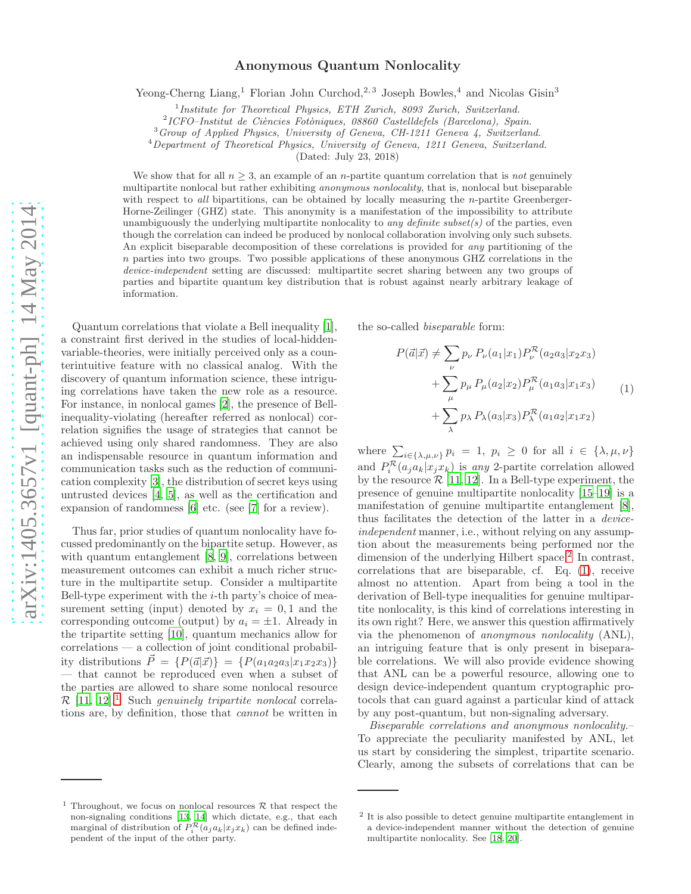# Anonymous Quantum Nonlocality

Yeong-Cherng Liang,<sup>1</sup> Florian John Curchod,<sup>2, 3</sup> Joseph Bowles,<sup>4</sup> and Nicolas Gisin<sup>3</sup>

<sup>1</sup>Institute for Theoretical Physics, ETH Zurich, 8093 Zurich, Switzerland.

<sup>2</sup>ICFO-Institut de Ciències Fotòniques, 08860 Castelldefels (Barcelona), Spain.

<sup>3</sup>Group of Applied Physics, University of Geneva, CH-1211 Geneva 4, Switzerland.

<sup>4</sup>Department of Theoretical Physics, University of Geneva, 1211 Geneva, Switzerland.

(Dated: July 23, 2018)

We show that for all  $n \geq 3$ , an example of an *n*-partite quantum correlation that is not genuinely multipartite nonlocal but rather exhibiting *anonymous nonlocality*, that is, nonlocal but biseparable with respect to all bipartitions, can be obtained by locally measuring the *n*-partite Greenberger-Horne-Zeilinger (GHZ) state. This anonymity is a manifestation of the impossibility to attribute unambiguously the underlying multipartite nonlocality to *any definite subset(s)* of the parties, even though the correlation can indeed be produced by nonlocal collaboration involving only such subsets. An explicit biseparable decomposition of these correlations is provided for any partitioning of the  $n$  parties into two groups. Two possible applications of these anonymous GHZ correlations in the device-independent setting are discussed: multipartite secret sharing between any two groups of parties and bipartite quantum key distribution that is robust against nearly arbitrary leakage of information.

Quantum correlations that violate a Bell inequality [\[1\]](#page-6-0), a constraint first derived in the studies of local-hiddenvariable-theories, were initially perceived only as a counterintuitive feature with no classical analog. With the discovery of quantum information science, these intriguing correlations have taken the new role as a resource. For instance, in nonlocal games [\[2\]](#page-6-1), the presence of Bellinequality-violating (hereafter referred as nonlocal) correlation signifies the usage of strategies that cannot be achieved using only shared randomness. They are also an indispensable resource in quantum information and communication tasks such as the reduction of communication complexity [\[3](#page-6-2)], the distribution of secret keys using untrusted devices [\[4](#page-6-3), [5\]](#page-6-4), as well as the certification and expansion of randomness [\[6\]](#page-6-5) etc. (see [\[7\]](#page-6-6) for a review).

Thus far, prior studies of quantum nonlocality have focussed predominantly on the bipartite setup. However, as with quantum entanglement [\[8,](#page-6-7) [9\]](#page-6-8), correlations between measurement outcomes can exhibit a much richer structure in the multipartite setup. Consider a multipartite Bell-type experiment with the  $i$ -th party's choice of measurement setting (input) denoted by  $x_i = 0, 1$  and the corresponding outcome (output) by  $a_i = \pm 1$ . Already in the tripartite setting [\[10](#page-6-9)], quantum mechanics allow for correlations — a collection of joint conditional probability distributions  $\vec{P} = \{P(\vec{a}|\vec{x})\} = \{P(a_1a_2a_3|x_1x_2x_3)\}$ — that cannot be reproduced even when a subset of the parties are allowed to share some nonlocal resource  $\mathcal{R}$  [\[11,](#page-6-10) [12](#page-6-11)].<sup>[1](#page-0-0)</sup> Such *genuinely tripartite nonlocal* correlations are, by definition, those that *cannot* be written in

the so-called *biseparable* form:

<span id="page-0-2"></span>
$$
P(\vec{a}|\vec{x}) \neq \sum_{\nu} p_{\nu} P_{\nu}(a_1|x_1) P_{\nu}^{\mathcal{R}}(a_2a_3|x_2x_3) + \sum_{\mu} p_{\mu} P_{\mu}(a_2|x_2) P_{\mu}^{\mathcal{R}}(a_1a_3|x_1x_3) + \sum_{\lambda} p_{\lambda} P_{\lambda}(a_3|x_3) P_{\lambda}^{\mathcal{R}}(a_1a_2|x_1x_2)
$$
 (1)

where  $\sum_{i\in\{\lambda,\mu,\nu\}} p_i = 1, p_i \geq 0$  for all  $i \in \{\lambda,\mu,\nu\}$ and  $P_i^{\mathcal{R}}(a_j a_k | x_j x_k)$  is *any* 2-partite correlation allowed by the resource  $\mathcal{R}$  [\[11](#page-6-10), [12\]](#page-6-11). In a Bell-type experiment, the presence of genuine multipartite nonlocality [\[15–](#page-6-14)[19\]](#page-6-15) is a manifestation of genuine multipartite entanglement [\[8\]](#page-6-7), thus facilitates the detection of the latter in a *deviceindependent* manner, i.e., without relying on any assumption about the measurements being performed nor the dimension of the underlying Hilbert space.<sup>[2](#page-0-1)</sup> In contrast, correlations that are biseparable, cf. Eq. [\(1\)](#page-0-2), receive almost no attention. Apart from being a tool in the derivation of Bell-type inequalities for genuine multipartite nonlocality, is this kind of correlations interesting in its own right? Here, we answer this question affirmatively via the phenomenon of *anonymous nonlocality* (ANL), an intriguing feature that is only present in biseparable correlations. We will also provide evidence showing that ANL can be a powerful resource, allowing one to design device-independent quantum cryptographic protocols that can guard against a particular kind of attack by any post-quantum, but non-signaling adversary.

*Biseparable correlations and anonymous nonlocality.*– To appreciate the peculiarity manifested by ANL, let us start by considering the simplest, tripartite scenario. Clearly, among the subsets of correlations that can be

<span id="page-0-0"></span><sup>&</sup>lt;sup>1</sup> Throughout, we focus on nonlocal resources  $R$  that respect the non-signaling conditions [\[13](#page-6-12), [14\]](#page-6-13) which dictate, e.g., that each marginal of distribution of  $P_i^{\mathcal{R}}(a_j a_k | x_j x_k)$  can be defined independent of the input of the other party.

<span id="page-0-1"></span><sup>&</sup>lt;sup>2</sup> It is also possible to detect genuine multipartite entanglement in a device-independent manner without the detection of genuine multipartite nonlocality. See [\[18,](#page-6-16) [20](#page-6-17)].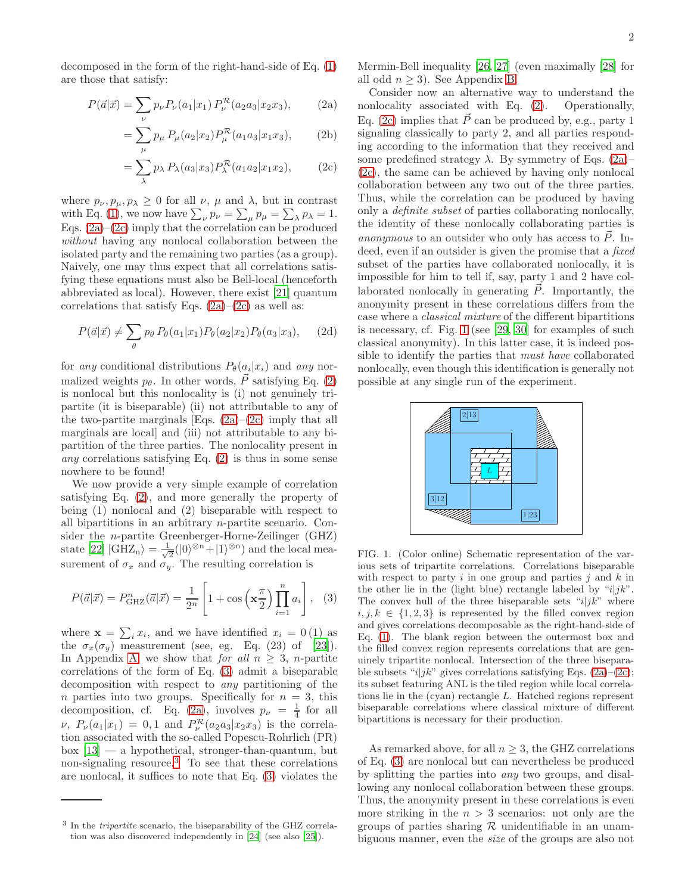decomposed in the form of the right-hand-side of Eq. [\(1\)](#page-0-2) are those that satisfy:

$$
P(\vec{a}|\vec{x}) = \sum_{\nu} p_{\nu} P_{\nu}(a_1|x_1) P_{\nu}^{\mathcal{R}}(a_2a_3|x_2x_3), \quad (2a)
$$

<span id="page-1-2"></span>
$$
= \sum_{\mu} p_{\mu} P_{\mu}(a_2|x_2) P_{\mu}^{\mathcal{R}}(a_1a_3|x_1x_3), \qquad (2b)
$$

$$
= \sum_{\lambda} p_{\lambda} P_{\lambda}(a_3|x_3) P_{\lambda}^{\mathcal{R}}(a_1 a_2|x_1 x_2), \qquad (2c)
$$

where  $p_{\nu}, p_{\mu}, p_{\lambda} \geq 0$  for all  $\nu, \mu$  and  $\lambda$ , but in contrast with Eq. [\(1\)](#page-0-2), we now have  $\sum_{\nu} p_{\nu} = \sum_{\mu} p_{\mu} = \sum_{\lambda} p_{\lambda} = 1$ . Eqs.  $(2a)$ – $(2c)$  imply that the correlation can be produced *without* having any nonlocal collaboration between the isolated party and the remaining two parties (as a group). Naively, one may thus expect that all correlations satisfying these equations must also be Bell-local (henceforth abbreviated as local). However, there exist [\[21\]](#page-6-18) quantum correlations that satisfy Eqs.  $(2a)-(2c)$  $(2a)-(2c)$  as well as:

$$
P(\vec{a}|\vec{x}) \neq \sum_{\theta} p_{\theta} P_{\theta}(a_1|x_1) P_{\theta}(a_2|x_2) P_{\theta}(a_3|x_3), \quad (2d)
$$

for *any* conditional distributions  $P_{\theta}(a_i|x_i)$  and *any* normalized weights  $p_{\theta}$ . In other words,  $\vec{P}$  satisfying Eq. [\(2\)](#page-1-2) is nonlocal but this nonlocality is (i) not genuinely tripartite (it is biseparable) (ii) not attributable to any of the two-partite marginals [Eqs.  $(2a)$ – $(2c)$  imply that all marginals are local] and (iii) not attributable to any bipartition of the three parties. The nonlocality present in *any* correlations satisfying Eq. [\(2\)](#page-1-2) is thus in some sense nowhere to be found!

We now provide a very simple example of correlation satisfying Eq. [\(2\)](#page-1-2), and more generally the property of being (1) nonlocal and (2) biseparable with respect to all bipartitions in an arbitrary n-partite scenario. Consider the n-partite Greenberger-Horne-Zeilinger (GHZ) state [\[22\]](#page-6-19)  $|GHZ_n\rangle = \frac{1}{\sqrt{2}}$  $\frac{1}{2}(|0\rangle^{\otimes n}+|1\rangle^{\otimes n})$  and the local measurement of  $\sigma_x$  and  $\sigma_y$ . The resulting correlation is

<span id="page-1-3"></span>
$$
P(\vec{a}|\vec{x}) = P_{\text{GHZ}}^n(\vec{a}|\vec{x}) = \frac{1}{2^n} \left[ 1 + \cos\left(\mathbf{x}\frac{\pi}{2}\right) \prod_{i=1}^n a_i \right], \quad (3)
$$

where  $\mathbf{x} = \sum_i x_i$ , and we have identified  $x_i = 0$  (1) as the  $\sigma_x(\sigma_y)$  measurement (see, eg. Eq. (23) of [\[23\]](#page-6-20)). In Appendix [A,](#page-4-0) we show that *for all*  $n \geq 3$ , *n*-partite correlations of the form of Eq. [\(3\)](#page-1-3) admit a biseparable decomposition with respect to *any* partitioning of the n parties into two groups. Specifically for  $n = 3$ , this decomposition, cf. Eq. [\(2a\)](#page-1-0), involves  $p_{\nu} = \frac{1}{4}$  for all  $\nu$ ,  $P_{\nu}(a_1|x_1) = 0, 1$  and  $P_{\nu}^{\mathcal{R}}(a_2a_3|x_2x_3)$  is the correlation associated with the so-called Popescu-Rohrlich (PR)  $b$ ox  $[13]$  — a hypothetical, stronger-than-quantum, but non-signaling resource.[3](#page-1-4) To see that these correlations are nonlocal, it suffices to note that Eq. [\(3\)](#page-1-3) violates the

Mermin-Bell inequality [\[26,](#page-7-0) [27\]](#page-7-1) (even maximally [\[28](#page-7-2)] for all odd  $n \geq 3$ ). See Appendix [B.](#page-5-0)

<span id="page-1-1"></span><span id="page-1-0"></span>Consider now an alternative way to understand the nonlocality associated with Eq. [\(2\)](#page-1-2). Operationally, Eq. [\(2c\)](#page-1-1) implies that  $\vec{P}$  can be produced by, e.g., party 1 signaling classically to party 2, and all parties responding according to the information that they received and some predefined strategy  $\lambda$ . By symmetry of Eqs. [\(2a\)](#page-1-0)– [\(2c\)](#page-1-1), the same can be achieved by having only nonlocal collaboration between any two out of the three parties. Thus, while the correlation can be produced by having only a *definite subset* of parties collaborating nonlocally, the identity of these nonlocally collaborating parties is *anonymous* to an outsider who only has access to  $\overline{P}$ . Indeed, even if an outsider is given the promise that a *fixed* subset of the parties have collaborated nonlocally, it is impossible for him to tell if, say, party 1 and 2 have collaborated nonlocally in generating  $\vec{P}$ . Importantly, the anonymity present in these correlations differs from the case where a *classical mixture* of the different bipartitions is necessary, cf. Fig. [1](#page-1-5) (see [\[29,](#page-7-3) [30\]](#page-7-4) for examples of such classical anonymity). In this latter case, it is indeed possible to identify the parties that *must have* collaborated nonlocally, even though this identification is generally not possible at any single run of the experiment.



<span id="page-1-5"></span>FIG. 1. (Color online) Schematic representation of the various sets of tripartite correlations. Correlations biseparable with respect to party  $i$  in one group and parties  $j$  and  $k$  in the other lie in the (light blue) rectangle labeled by " $i|jk$ ". The convex hull of the three biseparable sets " $i/jk$ " where  $i, j, k \in \{1, 2, 3\}$  is represented by the filled convex region and gives correlations decomposable as the right-hand-side of Eq. [\(1\)](#page-0-2). The blank region between the outermost box and the filled convex region represents correlations that are genuinely tripartite nonlocal. Intersection of the three biseparable subsets "i|jk" gives correlations satisfying Eqs.  $(2a)-(2c)$  $(2a)-(2c)$ ; its subset featuring ANL is the tiled region while local correlations lie in the (cyan) rectangle L. Hatched regions represent biseparable correlations where classical mixture of different bipartitions is necessary for their production.

As remarked above, for all  $n \geq 3$ , the GHZ correlations of Eq. [\(3\)](#page-1-3) are nonlocal but can nevertheless be produced by splitting the parties into *any* two groups, and disallowing any nonlocal collaboration between these groups. Thus, the anonymity present in these correlations is even more striking in the  $n > 3$  scenarios: not only are the groups of parties sharing  $\mathcal R$  unidentifiable in an unambiguous manner, even the *size* of the groups are also not

<span id="page-1-4"></span><sup>&</sup>lt;sup>3</sup> In the *tripartite* scenario, the biseparability of the GHZ correlation was also discovered independently in [\[24](#page-6-21)] (see also [\[25](#page-6-22)]).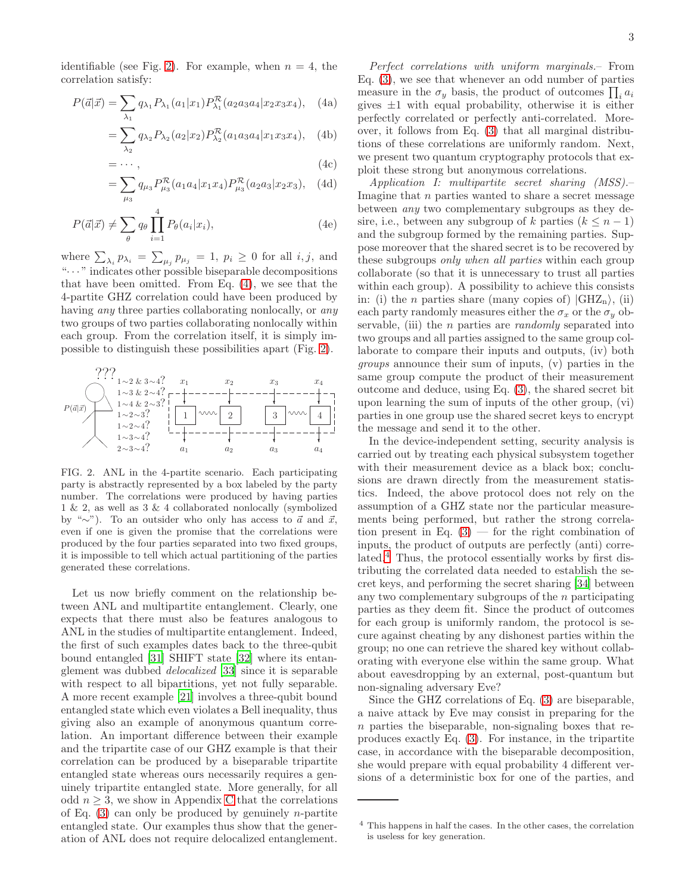identifiable (see Fig. [2\)](#page-2-0). For example, when  $n = 4$ , the correlation satisfy:

$$
P(\vec{a}|\vec{x}) = \sum_{\lambda_1} q_{\lambda_1} P_{\lambda_1}(a_1|x_1) P_{\lambda_1}^{\mathcal{R}}(a_2a_3a_4|x_2x_3x_4), \quad (4a)
$$

<span id="page-2-1"></span>
$$
= \sum_{\lambda_2} q_{\lambda_2} P_{\lambda_2}(a_2 | x_2) P_{\lambda_2}^{\mathcal{R}}(a_1 a_3 a_4 | x_1 x_3 x_4), \quad (4b)
$$

$$
= \cdots, \tag{4c}
$$

$$
= \sum_{\mu_3} q_{\mu_3} P_{\mu_3}^{\mathcal{R}}(a_1 a_4 | x_1 x_4) P_{\mu_3}^{\mathcal{R}}(a_2 a_3 | x_2 x_3), \quad (4d)
$$

$$
P(\vec{a}|\vec{x}) \neq \sum_{\theta} q_{\theta} \prod_{i=1}^{4} P_{\theta}(a_i|x_i), \qquad (4e)
$$

where  $\sum_{\lambda_i} p_{\lambda_i} = \sum_{\mu_j} p_{\mu_j} = 1$ ,  $p_i \geq 0$  for all  $i, j$ , and "· · · " indicates other possible biseparable decompositions that have been omitted. From Eq. [\(4\)](#page-2-1), we see that the 4-partite GHZ correlation could have been produced by having *any* three parties collaborating nonlocally, or *any* two groups of two parties collaborating nonlocally within each group. From the correlation itself, it is simply impossible to distinguish these possibilities apart (Fig. [2\)](#page-2-0).



<span id="page-2-0"></span>FIG. 2. ANL in the 4-partite scenario. Each participating party is abstractly represented by a box labeled by the party number. The correlations were produced by having parties 1 & 2, as well as 3 & 4 collaborated nonlocally (symbolized by "∼"). To an outsider who only has access to  $\vec{a}$  and  $\vec{x}$ , even if one is given the promise that the correlations were produced by the four parties separated into two fixed groups, it is impossible to tell which actual partitioning of the parties generated these correlations.

Let us now briefly comment on the relationship between ANL and multipartite entanglement. Clearly, one expects that there must also be features analogous to ANL in the studies of multipartite entanglement. Indeed, the first of such examples dates back to the three-qubit bound entangled [\[31\]](#page-7-5) SHIFT state [\[32\]](#page-7-6) where its entanglement was dubbed *delocalized* [\[33\]](#page-7-7) since it is separable with respect to all bipartitions, yet not fully separable. A more recent example [\[21\]](#page-6-18) involves a three-qubit bound entangled state which even violates a Bell inequality, thus giving also an example of anonymous quantum correlation. An important difference between their example and the tripartite case of our GHZ example is that their correlation can be produced by a biseparable tripartite entangled state whereas ours necessarily requires a genuinely tripartite entangled state. More generally, for all odd  $n \geq 3$ , we show in Appendix [C](#page-5-1) that the correlations of Eq.  $(3)$  can only be produced by genuinely *n*-partite entangled state. Our examples thus show that the generation of ANL does not require delocalized entanglement.

*Perfect correlations with uniform marginals.*– From Eq. [\(3\)](#page-1-3), we see that whenever an odd number of parties measure in the  $\sigma_y$  basis, the product of outcomes  $\prod_i a_i$ gives  $\pm 1$  with equal probability, otherwise it is either perfectly correlated or perfectly anti-correlated. Moreover, it follows from Eq. [\(3\)](#page-1-3) that all marginal distributions of these correlations are uniformly random. Next, we present two quantum cryptography protocols that exploit these strong but anonymous correlations.

*Application I: multipartite secret sharing (MSS).*– Imagine that n parties wanted to share a secret message between *any* two complementary subgroups as they desire, i.e., between any subgroup of k parties  $(k \leq n-1)$ and the subgroup formed by the remaining parties. Suppose moreover that the shared secret is to be recovered by these subgroups *only when all parties* within each group collaborate (so that it is unnecessary to trust all parties within each group). A possibility to achieve this consists in: (i) the *n* parties share (many copies of)  $|GHZ_n\rangle$ , (ii) each party randomly measures either the  $\sigma_x$  or the  $\sigma_y$  observable, (iii) the n parties are *randomly* separated into two groups and all parties assigned to the same group collaborate to compare their inputs and outputs, (iv) both *groups* announce their sum of inputs, (v) parties in the same group compute the product of their measurement outcome and deduce, using Eq. [\(3\)](#page-1-3), the shared secret bit upon learning the sum of inputs of the other group, (vi) parties in one group use the shared secret keys to encrypt the message and send it to the other.

In the device-independent setting, security analysis is carried out by treating each physical subsystem together with their measurement device as a black box; conclusions are drawn directly from the measurement statistics. Indeed, the above protocol does not rely on the assumption of a GHZ state nor the particular measurements being performed, but rather the strong correlation present in Eq.  $(3)$  — for the right combination of inputs, the product of outputs are perfectly (anti) corre-lated.<sup>[4](#page-2-2)</sup> Thus, the protocol essentially works by first distributing the correlated data needed to establish the secret keys, and performing the secret sharing [\[34\]](#page-7-8) between any two complementary subgroups of the  $n$  participating parties as they deem fit. Since the product of outcomes for each group is uniformly random, the protocol is secure against cheating by any dishonest parties within the group; no one can retrieve the shared key without collaborating with everyone else within the same group. What about eavesdropping by an external, post-quantum but non-signaling adversary Eve?

Since the GHZ correlations of Eq. [\(3\)](#page-1-3) are biseparable, a naive attack by Eve may consist in preparing for the n parties the biseparable, non-signaling boxes that reproduces exactly Eq. [\(3\)](#page-1-3). For instance, in the tripartite case, in accordance with the biseparable decomposition, she would prepare with equal probability 4 different versions of a deterministic box for one of the parties, and

<span id="page-2-2"></span><sup>4</sup> This happens in half the cases. In the other cases, the correlation is useless for key generation.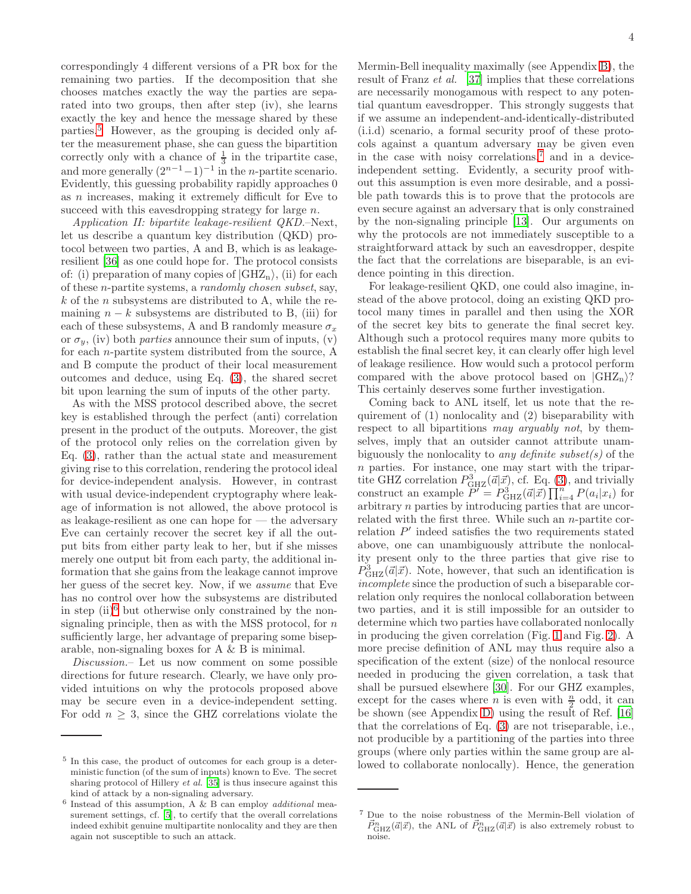correspondingly 4 different versions of a PR box for the remaining two parties. If the decomposition that she chooses matches exactly the way the parties are separated into two groups, then after step (iv), she learns exactly the key and hence the message shared by these parties.[5](#page-3-0) However, as the grouping is decided only after the measurement phase, she can guess the bipartition correctly only with a chance of  $\frac{1}{3}$  in the tripartite case, and more generally  $(2^{n-1}-1)^{-1}$  in the *n*-partite scenario. Evidently, this guessing probability rapidly approaches 0 as n increases, making it extremely difficult for Eve to succeed with this eavesdropping strategy for large n.

*Application II: bipartite leakage-resilient QKD.*–Next, let us describe a quantum key distribution (QKD) protocol between two parties, A and B, which is as leakageresilient [\[36\]](#page-7-9) as one could hope for. The protocol consists of: (i) preparation of many copies of  $|GHZ_n\rangle$ , (ii) for each of these n-partite systems, a *randomly chosen subset*, say,  $k$  of the *n* subsystems are distributed to A, while the remaining  $n - k$  subsystems are distributed to B, (iii) for each of these subsystems, A and B randomly measure  $\sigma_x$ or  $\sigma_y$ , (iv) both *parties* announce their sum of inputs, (v) for each n-partite system distributed from the source, A and B compute the product of their local measurement outcomes and deduce, using Eq. [\(3\)](#page-1-3), the shared secret bit upon learning the sum of inputs of the other party.

As with the MSS protocol described above, the secret key is established through the perfect (anti) correlation present in the product of the outputs. Moreover, the gist of the protocol only relies on the correlation given by Eq. [\(3\)](#page-1-3), rather than the actual state and measurement giving rise to this correlation, rendering the protocol ideal for device-independent analysis. However, in contrast with usual device-independent cryptography where leakage of information is not allowed, the above protocol is as leakage-resilient as one can hope for — the adversary Eve can certainly recover the secret key if all the output bits from either party leak to her, but if she misses merely one output bit from each party, the additional information that she gains from the leakage cannot improve her guess of the secret key. Now, if we *assume* that Eve has no control over how the subsystems are distributed in step  $(ii)^6$  $(ii)^6$  but otherwise only constrained by the nonsignaling principle, then as with the MSS protocol, for  $n$ sufficiently large, her advantage of preparing some biseparable, non-signaling boxes for A & B is minimal.

*Discussion.*– Let us now comment on some possible directions for future research. Clearly, we have only provided intuitions on why the protocols proposed above may be secure even in a device-independent setting. For odd  $n \geq 3$ , since the GHZ correlations violate the

Mermin-Bell inequality maximally (see Appendix [B\)](#page-5-0), the result of Franz *et al.* [\[37\]](#page-7-11) implies that these correlations are necessarily monogamous with respect to any potential quantum eavesdropper. This strongly suggests that if we assume an independent-and-identically-distributed (i.i.d) scenario, a formal security proof of these protocols against a quantum adversary may be given even in the case with noisy correlations, $\bar{z}$  and in a deviceindependent setting. Evidently, a security proof without this assumption is even more desirable, and a possible path towards this is to prove that the protocols are even secure against an adversary that is only constrained by the non-signaling principle [\[13](#page-6-12)]. Our arguments on why the protocols are not immediately susceptible to a straightforward attack by such an eavesdropper, despite the fact that the correlations are biseparable, is an evidence pointing in this direction.

For leakage-resilient QKD, one could also imagine, instead of the above protocol, doing an existing QKD protocol many times in parallel and then using the XOR of the secret key bits to generate the final secret key. Although such a protocol requires many more qubits to establish the final secret key, it can clearly offer high level of leakage resilience. How would such a protocol perform compared with the above protocol based on  $|GHZ_n\rangle$ ? This certainly deserves some further investigation.

Coming back to ANL itself, let us note that the requirement of (1) nonlocality and (2) biseparability with respect to all bipartitions *may arguably not*, by themselves, imply that an outsider cannot attribute unambiguously the nonlocality to *any definite subset(s)* of the n parties. For instance, one may start with the tripartite GHZ correlation  $P_{GHZ}^3(\vec{a}|\vec{x})$ , cf. Eq. [\(3\)](#page-1-3), and trivially construct an example  $P' = P_{\text{GHZ}}^3(\vec{a}|\vec{x}) \prod_{i=4}^{n'} P(a_i|x_i)$  for arbitrary n parties by introducing parties that are uncorrelated with the first three. While such an n-partite correlation P ′ indeed satisfies the two requirements stated above, one can unambiguously attribute the nonlocality present only to the three parties that give rise to  $P_{\text{GHZ}}^3(\vec{a}|\vec{x})$ . Note, however, that such an identification is *incomplete* since the production of such a biseparable correlation only requires the nonlocal collaboration between two parties, and it is still impossible for an outsider to determine which two parties have collaborated nonlocally in producing the given correlation (Fig. [1](#page-1-5) and Fig. [2\)](#page-2-0). A more precise definition of ANL may thus require also a specification of the extent (size) of the nonlocal resource needed in producing the given correlation, a task that shall be pursued elsewhere [\[30](#page-7-4)]. For our GHZ examples, except for the cases where *n* is even with  $\frac{n}{2}$  odd, it can be shown (see Appendix [D\)](#page-6-23) using the result of Ref. [\[16](#page-6-24)] that the correlations of Eq. [\(3\)](#page-1-3) are not triseparable, i.e., not producible by a partitioning of the parties into three groups (where only parties within the same group are allowed to collaborate nonlocally). Hence, the generation

<span id="page-3-0"></span><sup>5</sup> In this case, the product of outcomes for each group is a deterministic function (of the sum of inputs) known to Eve. The secret sharing protocol of Hillery et al. [\[35](#page-7-10)] is thus insecure against this kind of attack by a non-signaling adversary.

<span id="page-3-1"></span> $6$  Instead of this assumption, A & B can employ *additional* measurement settings, cf. [\[5](#page-6-4)], to certify that the overall correlations indeed exhibit genuine multipartite nonlocality and they are then again not susceptible to such an attack.

<span id="page-3-2"></span><sup>7</sup> Due to the noise robustness of the Mermin-Bell violation of  $\vec{P}^n_{\text{GHZ}}(\vec{a}|\vec{x})$ , the ANL of  $\vec{P}^n_{\text{GHZ}}(\vec{a}|\vec{x})$  is also extremely robust to noise.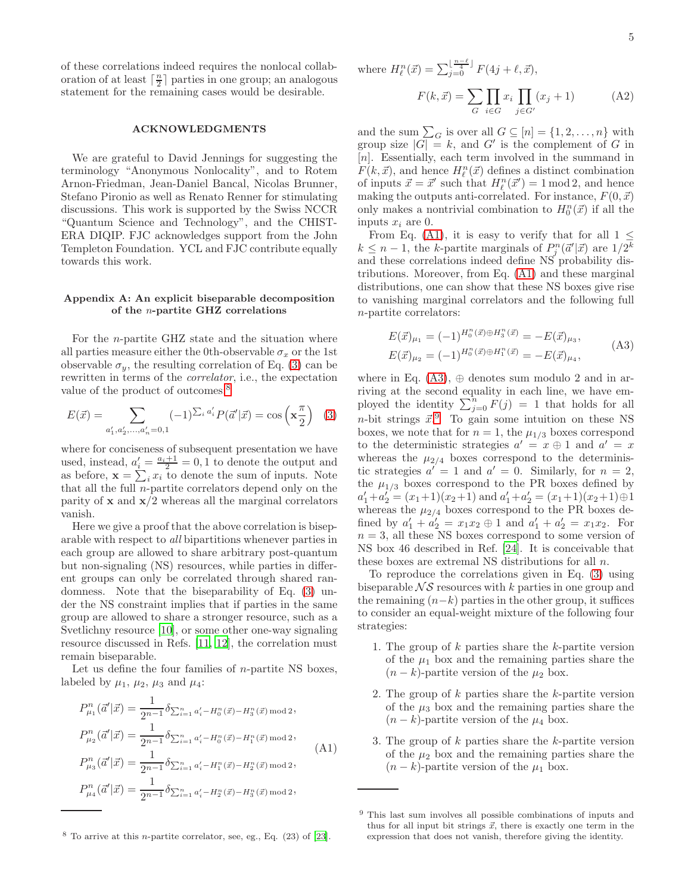of these correlations indeed requires the nonlocal collaboration of at least  $\lceil \frac{n}{2} \rceil$  parties in one group; an analogous statement for the remaining cases would be desirable.

### ACKNOWLEDGMENTS

We are grateful to David Jennings for suggesting the terminology "Anonymous Nonlocality", and to Rotem Arnon-Friedman, Jean-Daniel Bancal, Nicolas Brunner, Stefano Pironio as well as Renato Renner for stimulating discussions. This work is supported by the Swiss NCCR "Quantum Science and Technology", and the CHIST-ERA DIQIP. FJC acknowledges support from the John Templeton Foundation. YCL and FJC contribute equally towards this work.

# <span id="page-4-0"></span>Appendix A: An explicit biseparable decomposition of the n-partite GHZ correlations

For the n-partite GHZ state and the situation where all parties measure either the 0th-observable  $\sigma_x$  or the 1st observable  $\sigma_y$ , the resulting correlation of Eq. [\(3\)](#page-1-3) can be rewritten in terms of the *correlator*, i.e., the expectation value of the product of outcomes:<sup>[8](#page-4-1)</sup>

$$
E(\vec{x}) = \sum_{a'_1, a'_2, \dots, a'_n = 0, 1} (-1)^{\sum_i a'_i} P(\vec{a}' | \vec{x}) = \cos\left(\mathbf{x} \frac{\pi}{2}\right) \tag{3}
$$

where for conciseness of subsequent presentation we have used, instead,  $a_i' = \frac{a_i+1}{2} = 0, 1$  to denote the output and as before,  $\mathbf{x} = \sum_i x_i$  to denote the sum of inputs. Note that all the full  $n$ -partite correlators depend only on the parity of  $x$  and  $x/2$  whereas all the marginal correlators vanish.

Here we give a proof that the above correlation is biseparable with respect to *all* bipartitions whenever parties in each group are allowed to share arbitrary post-quantum but non-signaling (NS) resources, while parties in different groups can only be correlated through shared randomness. Note that the biseparability of Eq. [\(3\)](#page-1-3) under the NS constraint implies that if parties in the same group are allowed to share a stronger resource, such as a Svetlichny resource [\[10\]](#page-6-9), or some other one-way signaling resource discussed in Refs. [\[11,](#page-6-10) [12\]](#page-6-11), the correlation must remain biseparable.

Let us define the four families of  $n$ -partite NS boxes, labeled by  $\mu_1$ ,  $\mu_2$ ,  $\mu_3$  and  $\mu_4$ :

<span id="page-4-2"></span>
$$
P_{\mu_1}^n(\vec{a}'|\vec{x}) = \frac{1}{2^{n-1}} \delta_{\sum_{i=1}^n a'_i - H_0^n(\vec{x}) - H_3^n(\vec{x}) \mod 2},
$$
  
\n
$$
P_{\mu_2}^n(\vec{a}'|\vec{x}) = \frac{1}{2^{n-1}} \delta_{\sum_{i=1}^n a'_i - H_0^n(\vec{x}) - H_1^n(\vec{x}) \mod 2},
$$
  
\n
$$
P_{\mu_3}^n(\vec{a}'|\vec{x}) = \frac{1}{2^{n-1}} \delta_{\sum_{i=1}^n a'_i - H_1^n(\vec{x}) - H_2^n(\vec{x}) \mod 2},
$$
  
\n
$$
P_{\mu_4}^n(\vec{a}'|\vec{x}) = \frac{1}{2^{n-1}} \delta_{\sum_{i=1}^n a'_i - H_2^n(\vec{x}) - H_3^n(\vec{x}) \mod 2},
$$
  
\n(A1)

where  $H_{\ell}^{n}(\vec{x}) = \sum_{j=0}^{\lfloor \frac{n-\ell}{4} \rfloor} F(4j + \ell, \vec{x}),$ 

$$
F(k, \vec{x}) = \sum_{G} \prod_{i \in G} x_i \prod_{j \in G'} (x_j + 1)
$$
 (A2)

and the sum  $\sum_{G}$  is over all  $G \subseteq [n] = \{1, 2, ..., n\}$  with group size  $|G| = k$ , and G' is the complement of G in [n]. Essentially, each term involved in the summand in  $F(k, \vec{x})$ , and hence  $H^n_{\ell}(\vec{x})$  defines a distinct combination of inputs  $\vec{x} = \vec{x}'$  such that  $H_{\ell}^{n}(\vec{x}') = 1 \mod 2$ , and hence making the outputs anti-correlated. For instance,  $F(0, \vec{x})$ only makes a nontrivial combination to  $H_0^n(\vec{x})$  if all the inputs  $x_i$  are 0.

From Eq. [\(A1\)](#page-4-2), it is easy to verify that for all  $1 \leq$  $k \leq n-1$ , the k-partite marginals of  $P_j^n(\vec{a}'|\vec{x})$  are  $1/2^k$ and these correlations indeed define NS probability distributions. Moreover, from Eq. [\(A1\)](#page-4-2) and these marginal distributions, one can show that these NS boxes give rise to vanishing marginal correlators and the following full n-partite correlators:

$$
E(\vec{x})_{\mu_1} = (-1)^{H_0^n(\vec{x}) \oplus H_3^n(\vec{x})} = -E(\vec{x})_{\mu_3},
$$
  
\n
$$
E(\vec{x})_{\mu_2} = (-1)^{H_0^n(\vec{x}) \oplus H_1^n(\vec{x})} = -E(\vec{x})_{\mu_4},
$$
\n(A3)

<span id="page-4-3"></span>where in Eq.  $(A3)$ ,  $\oplus$  denotes sum modulo 2 and in arriving at the second equality in each line, we have employed the identity  $\sum_{j=0}^{n} F(j) = 1$  that holds for all *n*-bit strings  $\vec{x}$ . To gain some intuition on these NS boxes, we note that for  $n = 1$ , the  $\mu_{1/3}$  boxes correspond to the deterministic strategies  $a' = x \oplus 1$  and  $a' = x$ whereas the  $\mu_{2/4}$  boxes correspond to the deterministic strategies  $a' = 1$  and  $a' = 0$ . Similarly, for  $n = 2$ , the  $\mu_{1/3}$  boxes correspond to the PR boxes defined by  $a'_1 + a'_2 = (x_1+1)(x_2+1)$  and  $a'_1 + a'_2 = (x_1+1)(x_2+1) \oplus 1$ whereas the  $\mu_{2/4}$  boxes correspond to the PR boxes defined by  $a'_1 + a'_2 = x_1x_2 \oplus 1$  and  $a'_1 + a'_2 = x_1x_2$ . For  $n = 3$ , all these NS boxes correspond to some version of NS box 46 described in Ref. [\[24\]](#page-6-21). It is conceivable that these boxes are extremal NS distributions for all n.

To reproduce the correlations given in Eq. [\(3\)](#page-1-3) using biseparable  $\mathcal{N} \mathcal{S}$  resources with k parties in one group and the remaining  $(n-k)$  parties in the other group, it suffices to consider an equal-weight mixture of the following four strategies:

- 1. The group of  $k$  parties share the  $k$ -partite version of the  $\mu_1$  box and the remaining parties share the  $(n - k)$ -partite version of the  $\mu_2$  box.
- 2. The group of  $k$  parties share the  $k$ -partite version of the  $\mu_3$  box and the remaining parties share the  $(n - k)$ -partite version of the  $\mu_4$  box.
- 3. The group of k parties share the k-partite version of the  $\mu_2$  box and the remaining parties share the  $(n - k)$ -partite version of the  $\mu_1$  box.

<span id="page-4-1"></span> $8$  To arrive at this *n*-partite correlator, see, eg., Eq.  $(23)$  of  $[23]$ .

<span id="page-4-4"></span><sup>9</sup> This last sum involves all possible combinations of inputs and thus for all input bit strings  $\vec{x}$ , there is exactly one term in the expression that does not vanish, therefore giving the identity.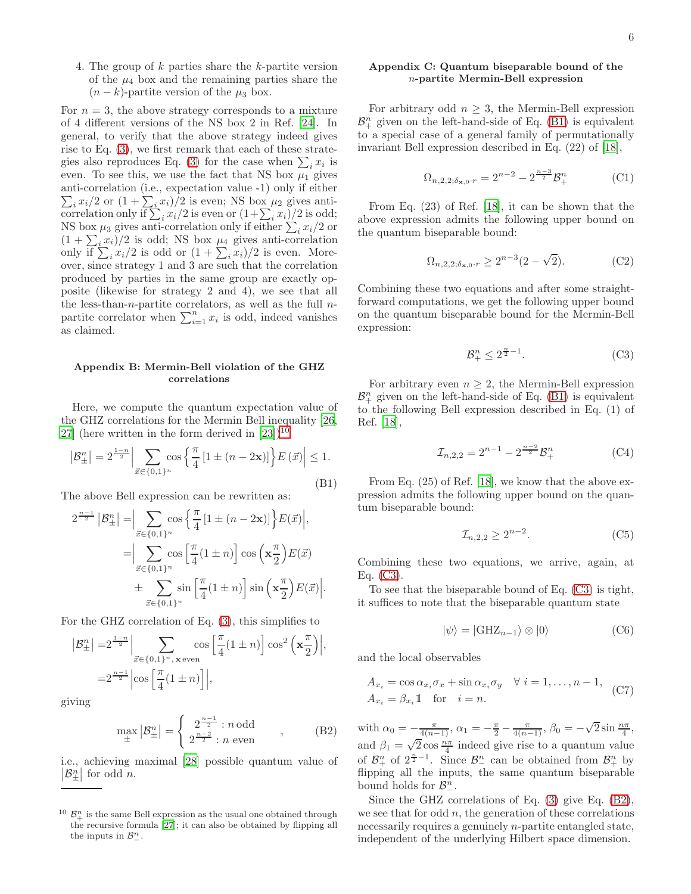4. The group of k parties share the k-partite version of the  $\mu_4$  box and the remaining parties share the  $(n - k)$ -partite version of the  $\mu_3$  box.

For  $n = 3$ , the above strategy corresponds to a mixture of 4 different versions of the NS box 2 in Ref. [\[24\]](#page-6-21). In general, to verify that the above strategy indeed gives rise to Eq. [\(3\)](#page-1-3), we first remark that each of these strate-gies also reproduces Eq. [\(3\)](#page-1-3) for the case when  $\sum_i x_i$  is even. To see this, we use the fact that NS box  $\mu_1$  gives anti-correlation (i.e., expectation value -1) only if either  $\sum_i x_i/2$  or  $(1 + \sum_i x_i)/2$  is even; NS box  $\mu_2$  gives anticorrelation only if  $\sum_i x_i/2$  is even or  $(1+\sum_i x_i)/2$  is odd; NS box  $\mu_3$  gives anti-correlation only if either  $\sum_i x_i/2$  or  $(1 + \sum_i x_i)/2$  is odd; NS box  $\mu_4$  gives anti-correlation only if  $\sum_i x_i/2$  is odd or  $(1 + \sum_i x_i)/2$  is even. Moreover, since strategy 1 and 3 are such that the correlation produced by parties in the same group are exactly opposite (likewise for strategy 2 and 4), we see that all the less-than-n-partite correlators, as well as the full  $n$ partite correlator when  $\sum_{i=1}^{n} x_i$  is odd, indeed vanishes as claimed.

#### <span id="page-5-0"></span>Appendix B: Mermin-Bell violation of the GHZ correlations

Here, we compute the quantum expectation value of the GHZ correlations for the Mermin Bell inequality [\[26](#page-7-0), [27\]](#page-7-1) (here written in the form derived in  $[23]$ )<sup>[10](#page-5-2)</sup>

<span id="page-5-3"></span>
$$
\left| \mathcal{B}_{\pm}^{n} \right| = 2^{\frac{1-n}{2}} \left| \sum_{\vec{x} \in \{0,1\}^{n}} \cos \left\{ \frac{\pi}{4} \left[ 1 \pm (n - 2\mathbf{x}) \right] \right\} E\left(\vec{x}\right) \right| \le 1.
$$
\n(B1)

The above Bell expression can be rewritten as:

$$
2^{\frac{n-1}{2}}\left|\mathcal{B}_{\pm}^{n}\right| = \Big|\sum_{\vec{x}\in\{0,1\}^{n}} \cos\left\{\frac{\pi}{4}\left[1\pm(n-2\mathbf{x})\right]\right\} E(\vec{x})\Big|,
$$
  

$$
= \Big|\sum_{\vec{x}\in\{0,1\}^{n}} \cos\left[\frac{\pi}{4}(1\pm n)\right] \cos\left(\mathbf{x}\frac{\pi}{2}\right) E(\vec{x})
$$
  

$$
\pm \sum_{\vec{x}\in\{0,1\}^{n}} \sin\left[\frac{\pi}{4}(1\pm n)\right] \sin\left(\mathbf{x}\frac{\pi}{2}\right) E(\vec{x})\Big|.
$$

For the GHZ correlation of Eq. [\(3\)](#page-1-3), this simplifies to

$$
|\mathcal{B}_{\pm}^{n}| = 2^{\frac{1-n}{2}} \Big| \sum_{\vec{x} \in \{0,1\}^n, \mathbf{x} \text{ even}} \cos \left[ \frac{\pi}{4} (1 \pm n) \right] \cos^{2} \left( \mathbf{x} \frac{\pi}{2} \right) \Big|,
$$
  

$$
= 2^{\frac{n-1}{2}} \Big| \cos \left[ \frac{\pi}{4} (1 \pm n) \right] \Big|,
$$

giving

<span id="page-5-5"></span>
$$
\max_{\pm} |\mathcal{B}_{\pm}^{n}| = \begin{cases} 2^{\frac{n-1}{2}} : n \text{ odd} \\ 2^{\frac{n-2}{2}} : n \text{ even} \end{cases} , \quad (B2)
$$

i.e., achieving maximal [\[28](#page-7-2)] possible quantum value of  $\mathcal{B}^n_{\pm}$  $\left| \begin{array}{c} n \\ \pm \end{array} \right|$  for odd n.

#### <span id="page-5-1"></span>Appendix C: Quantum biseparable bound of the n-partite Mermin-Bell expression

For arbitrary odd  $n \geq 3$ , the Mermin-Bell expression  $\mathcal{B}^n_+$  given on the left-hand-side of Eq. [\(B1\)](#page-5-3) is equivalent to a special case of a general family of permutationally invariant Bell expression described in Eq. (22) of [\[18](#page-6-16)],

$$
\Omega_{n,2,2;\delta_{\mathbf{x},0} \cdot r} = 2^{n-2} - 2^{\frac{n-3}{2}} \mathcal{B}^n_+ \tag{C1}
$$

From Eq. (23) of Ref. [\[18](#page-6-16)], it can be shown that the above expression admits the following upper bound on the quantum biseparable bound:

$$
\Omega_{n,2,2;\delta_{\mathbf{x},0} \cdot r} \ge 2^{n-3} (2 - \sqrt{2}).\tag{C2}
$$

Combining these two equations and after some straightforward computations, we get the following upper bound on the quantum biseparable bound for the Mermin-Bell expression:

<span id="page-5-4"></span>
$$
\mathcal{B}^n_+ \le 2^{\frac{n}{2}-1}.\tag{C3}
$$

For arbitrary even  $n \geq 2$ , the Mermin-Bell expression  $\mathcal{B}^n_+$  given on the left-hand-side of Eq. [\(B1\)](#page-5-3) is equivalent to the following Bell expression described in Eq. (1) of Ref. [\[18\]](#page-6-16),

$$
\mathcal{I}_{n,2,2} = 2^{n-1} - 2^{\frac{n-2}{2}} \mathcal{B}^n_+ \tag{C4}
$$

From Eq. (25) of Ref. [\[18](#page-6-16)], we know that the above expression admits the following upper bound on the quantum biseparable bound:

$$
\mathcal{I}_{n,2,2} \ge 2^{n-2}.\tag{C5}
$$

Combining these two equations, we arrive, again, at Eq. [\(C3\)](#page-5-4).

To see that the biseparable bound of Eq. [\(C3\)](#page-5-4) is tight, it suffices to note that the biseparable quantum state

$$
|\psi\rangle = |\text{GHZ}_{n-1}\rangle \otimes |0\rangle \tag{C6}
$$

and the local observables

$$
A_{x_i} = \cos \alpha_{x_i} \sigma_x + \sin \alpha_{x_i} \sigma_y \quad \forall \ i = 1, ..., n-1,
$$
  
\n
$$
A_{x_i} = \beta_{x_i} 1 \quad \text{for} \quad i = n.
$$
 (C7)

with  $\alpha_0 = -\frac{\pi}{4(n-1)}$ ,  $\alpha_1 = -\frac{\pi}{2} - \frac{\pi}{4(n-1)}$ ,  $\beta_0 = -\sqrt{2} \sin \frac{n\pi}{4}$ , and  $\beta_1 = \sqrt{2} \cos \frac{n\pi}{4}$  indeed give rise to a quantum value of  $\mathcal{B}^n_+$  of  $2^{\frac{n}{2}-1}$ . Since  $\mathcal{B}^n_-$  can be obtained from  $\mathcal{B}^n_+$  by flipping all the inputs, the same quantum biseparable bound holds for  $\mathcal{B}_{-}^{n}$ .

Since the GHZ correlations of Eq. [\(3\)](#page-1-3) give Eq. [\(B2\)](#page-5-5), we see that for odd  $n$ , the generation of these correlations necessarily requires a genuinely n-partite entangled state, independent of the underlying Hilbert space dimension.

<span id="page-5-2"></span><sup>&</sup>lt;sup>10</sup>  $\mathcal{B}_{+}^{n}$  is the same Bell expression as the usual one obtained through the recursive formula [\[27\]](#page-7-1); it can also be obtained by flipping all the inputs in  $\mathcal{B}_{-}^{n}$ .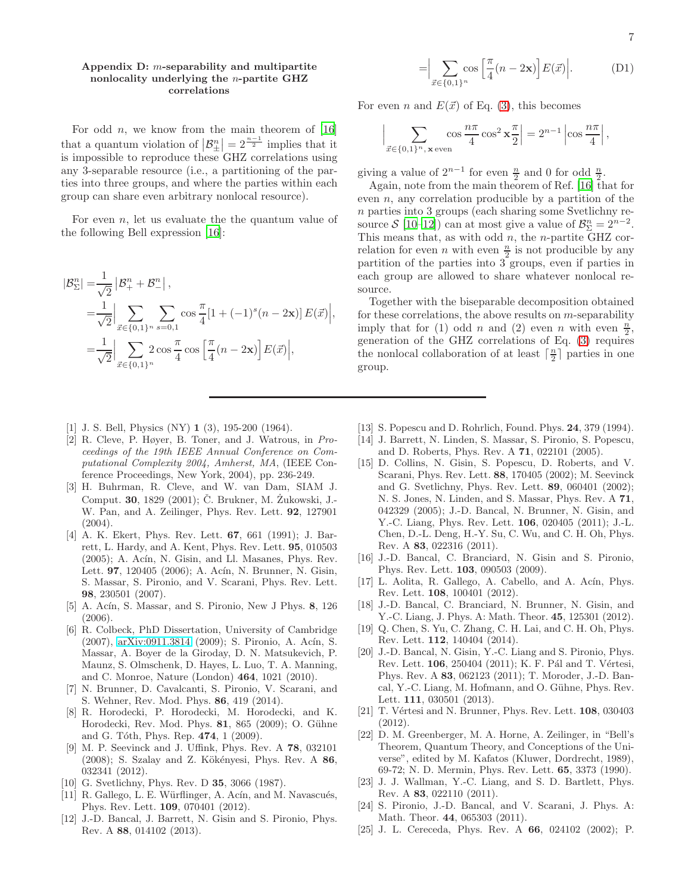#### <span id="page-6-23"></span>Appendix D: m-separability and multipartite nonlocality underlying the n-partite GHZ correlations

For odd  $n$ , we know from the main theorem of [\[16](#page-6-24)] that a quantum violation of  $\beta_{\pm}^{n}$  $\left| \frac{n}{\pm} \right| = 2^{\frac{n-1}{2}}$  implies that it is impossible to reproduce these GHZ correlations using any 3-separable resource (i.e., a partitioning of the parties into three groups, and where the parties within each group can share even arbitrary nonlocal resource).

For even  $n$ , let us evaluate the the quantum value of the following Bell expression [\[16](#page-6-24)]:

$$
|\mathcal{B}_{\Sigma}^{n}| = \frac{1}{\sqrt{2}} | \mathcal{B}_{+}^{n} + \mathcal{B}_{-}^{n} |,
$$
  
\n
$$
= \frac{1}{\sqrt{2}} \Big| \sum_{\vec{x} \in \{0,1\}^{n}} \sum_{s=0,1} \cos \frac{\pi}{4} [1 + (-1)^{s} (n - 2\mathbf{x})] E(\vec{x}) \Big|,
$$
  
\n
$$
= \frac{1}{\sqrt{2}} \Big| \sum_{\vec{x} \in \{0,1\}^{n}} 2 \cos \frac{\pi}{4} \cos \left[ \frac{\pi}{4} (n - 2\mathbf{x}) \right] E(\vec{x}) \Big|,
$$

- <span id="page-6-0"></span>[1] J. S. Bell, Physics (NY) 1 (3), 195-200 (1964).
- <span id="page-6-1"></span>[2] R. Cleve, P. Høyer, B. Toner, and J. Watrous, in Proceedings of the 19th IEEE Annual Conference on Computational Complexity 2004, Amherst, MA, (IEEE Conference Proceedings, New York, 2004), pp. 236-249.
- <span id="page-6-2"></span>[3] H. Buhrman, R. Cleve, and W. van Dam, SIAM J. Comput. 30, 1829 (2001); Č. Brukner, M. Żukowski, J.-W. Pan, and A. Zeilinger, Phys. Rev. Lett. 92, 127901  $(2004).$
- <span id="page-6-3"></span>[4] A. K. Ekert, Phys. Rev. Lett. 67, 661 (1991); J. Barrett, L. Hardy, and A. Kent, Phys. Rev. Lett. 95, 010503  $(2005)$ ; A. Acín, N. Gisin, and Ll. Masanes, Phys. Rev. Lett. 97, 120405 (2006); A. Acín, N. Brunner, N. Gisin, S. Massar, S. Pironio, and V. Scarani, Phys. Rev. Lett. 98, 230501 (2007).
- <span id="page-6-4"></span>[5] A. Acín, S. Massar, and S. Pironio, New J Phys. 8, 126 (2006).
- <span id="page-6-5"></span>[6] R. Colbeck, PhD Dissertation, University of Cambridge (2007), [arXiv:0911.3814](http://arxiv.org/abs/0911.3814) (2009); S. Pironio, A. Acín, S. Massar, A. Boyer de la Giroday, D. N. Matsukevich, P. Maunz, S. Olmschenk, D. Hayes, L. Luo, T. A. Manning, and C. Monroe, Nature (London) 464, 1021 (2010).
- <span id="page-6-6"></span>[7] N. Brunner, D. Cavalcanti, S. Pironio, V. Scarani, and S. Wehner, Rev. Mod. Phys. 86, 419 (2014).
- <span id="page-6-7"></span>[8] R. Horodecki, P. Horodecki, M. Horodecki, and K. Horodecki, Rev. Mod. Phys. 81, 865 (2009); O. Gühne and G. Tóth, Phys. Rep. 474, 1 (2009).
- <span id="page-6-8"></span>[9] M. P. Seevinck and J. Uffink, Phys. Rev. A 78, 032101  $(2008)$ ; S. Szalay and Z. Kökényesi, Phys. Rev. A 86, 032341 (2012).
- <span id="page-6-9"></span>[10] G. Svetlichny, Phys. Rev. D **35**, 3066 (1987).
- <span id="page-6-10"></span>[11] R. Gallego, L. E. Würflinger, A. Acín, and M. Navascués, Phys. Rev. Lett. 109, 070401 (2012).
- <span id="page-6-11"></span>[12] J.-D. Bancal, J. Barrett, N. Gisin and S. Pironio, Phys. Rev. A 88, 014102 (2013).

$$
= \Big| \sum_{\vec{x} \in \{0,1\}^n} \cos \Big[ \frac{\pi}{4} (n - 2\mathbf{x}) \Big] E(\vec{x}) \Big|.
$$
 (D1)

For even n and  $E(\vec{x})$  of Eq. [\(3\)](#page-1-3), this becomes

$$
\Bigl|\sum_{\vec x\in\{0,1\}^n,\,\mathbf x\, \mathrm{even}}\cos \frac{n\pi}{4}\cos^2\mathbf x\frac{\pi}{2}\Bigr|=2^{n-1}\left|\cos\frac{n\pi}{4}\right|,
$$

giving a value of  $2^{n-1}$  for even  $\frac{n}{2}$  and 0 for odd  $\frac{n}{2}$ .

Again, note from the main theorem of Ref. [\[16](#page-6-24)] that for even  $n$ , any correlation producible by a partition of the n parties into 3 groups (each sharing some Svetlichny resource  $S$  [\[10](#page-6-9)[–12\]](#page-6-11)) can at most give a value of  $\mathcal{B}_{\Sigma}^n = 2^{n-2}$ . This means that, as with odd  $n$ , the *n*-partite GHZ correlation for even *n* with even  $\frac{n}{2}$  is not producible by any partition of the parties into  $3$  groups, even if parties in each group are allowed to share whatever nonlocal resource.

Together with the biseparable decomposition obtained for these correlations, the above results on  $m$ -separability imply that for (1) odd *n* and (2) even *n* with even  $\frac{n}{2}$ , generation of the GHZ correlations of Eq. [\(3\)](#page-1-3) requires the nonlocal collaboration of at least  $\lceil \frac{n}{2} \rceil$  parties in one group.

- <span id="page-6-12"></span>[13] S. Popescu and D. Rohrlich, Found. Phys. 24, 379 (1994).
- <span id="page-6-13"></span>[14] J. Barrett, N. Linden, S. Massar, S. Pironio, S. Popescu, and D. Roberts, Phys. Rev. A 71, 022101 (2005).
- <span id="page-6-14"></span>[15] D. Collins, N. Gisin, S. Popescu, D. Roberts, and V. Scarani, Phys. Rev. Lett. 88, 170405 (2002); M. Seevinck and G. Svetlichny, Phys. Rev. Lett. 89, 060401 (2002); N. S. Jones, N. Linden, and S. Massar, Phys. Rev. A 71, 042329 (2005); J.-D. Bancal, N. Brunner, N. Gisin, and Y.-C. Liang, Phys. Rev. Lett. 106, 020405 (2011); J.-L. Chen, D.-L. Deng, H.-Y. Su, C. Wu, and C. H. Oh, Phys. Rev. A 83, 022316 (2011).
- <span id="page-6-24"></span>[16] J.-D. Bancal, C. Branciard, N. Gisin and S. Pironio, Phys. Rev. Lett. 103, 090503 (2009).
- [17] L. Aolita, R. Gallego, A. Cabello, and A. Acín, Phys. Rev. Lett. 108, 100401 (2012).
- <span id="page-6-16"></span>[18] J.-D. Bancal, C. Branciard, N. Brunner, N. Gisin, and Y.-C. Liang, J. Phys. A: Math. Theor. 45, 125301 (2012).
- <span id="page-6-15"></span>[19] Q. Chen, S. Yu, C. Zhang, C. H. Lai, and C. H. Oh, Phys. Rev. Lett. 112, 140404 (2014).
- <span id="page-6-17"></span>[20] J.-D. Bancal, N. Gisin, Y.-C. Liang and S. Pironio, Phys. Rev. Lett. 106, 250404 (2011); K. F. Pál and T. Vértesi, Phys. Rev. A 83, 062123 (2011); T. Moroder, J.-D. Bancal, Y.-C. Liang, M. Hofmann, and O. Gühne, Phys. Rev. Lett. 111, 030501 (2013).
- <span id="page-6-18"></span>[21] T. Vértesi and N. Brunner, Phys. Rev. Lett.  $108$ , 030403 (2012).
- <span id="page-6-19"></span>[22] D. M. Greenberger, M. A. Horne, A. Zeilinger, in "Bell's Theorem, Quantum Theory, and Conceptions of the Universe", edited by M. Kafatos (Kluwer, Dordrecht, 1989), 69-72; N. D. Mermin, Phys. Rev. Lett. 65, 3373 (1990).
- <span id="page-6-20"></span>[23] J. J. Wallman, Y.-C. Liang, and S. D. Bartlett, Phys. Rev. A 83, 022110 (2011).
- <span id="page-6-21"></span>[24] S. Pironio, J.-D. Bancal, and V. Scarani, J. Phys. A: Math. Theor. 44, 065303 (2011).
- <span id="page-6-22"></span>[25] J. L. Cereceda, Phys. Rev. A 66, 024102 (2002); P.